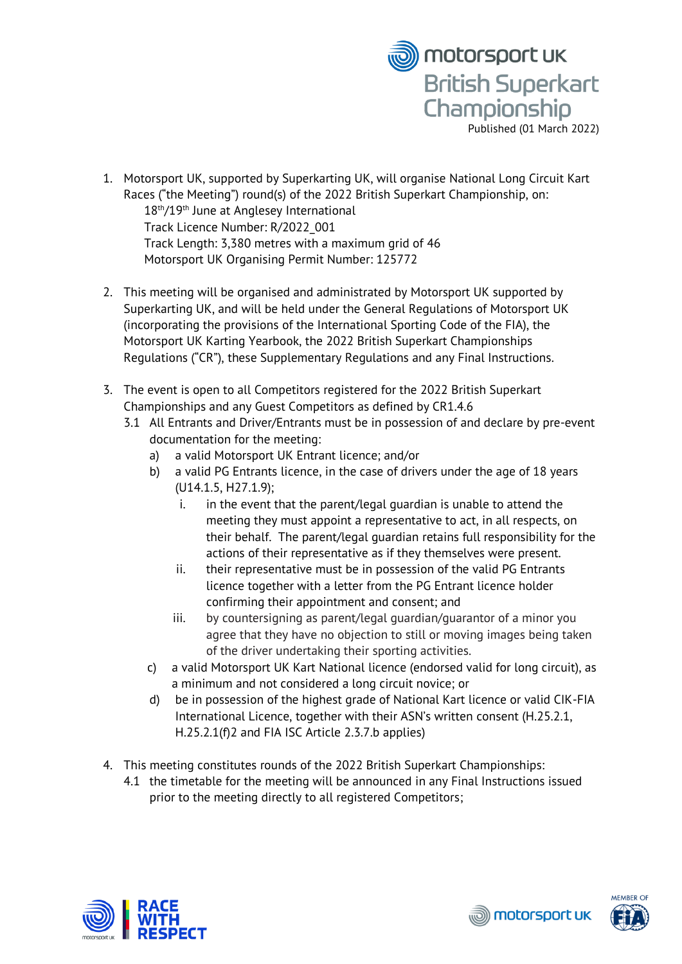

- 1. Motorsport UK, supported by Superkarting UK, will organise National Long Circuit Kart Races ("the Meeting") round(s) of the 2022 British Superkart Championship, on: 18th/19th June at Anglesey International Track Licence Number: R/2022\_001 Track Length: 3,380 metres with a maximum grid of 46 Motorsport UK Organising Permit Number: 125772
- 2. This meeting will be organised and administrated by Motorsport UK supported by Superkarting UK, and will be held under the General Regulations of Motorsport UK (incorporating the provisions of the International Sporting Code of the FIA), the Motorsport UK Karting Yearbook, the 2022 British Superkart Championships Regulations ("CR"), these Supplementary Regulations and any Final Instructions.
- 3. The event is open to all Competitors registered for the 2022 British Superkart Championships and any Guest Competitors as defined by CR1.4.6
	- 3.1 All Entrants and Driver/Entrants must be in possession of and declare by pre-event documentation for the meeting:
		- a) a valid Motorsport UK Entrant licence; and/or
		- b) a valid PG Entrants licence, in the case of drivers under the age of 18 years (U14.1.5, H27.1.9);
			- i. in the event that the parent/legal guardian is unable to attend the meeting they must appoint a representative to act, in all respects, on their behalf. The parent/legal guardian retains full responsibility for the actions of their representative as if they themselves were present.
			- ii. their representative must be in possession of the valid PG Entrants licence together with a letter from the PG Entrant licence holder confirming their appointment and consent; and
			- iii. by countersigning as parent/legal guardian/guarantor of a minor you agree that they have no objection to still or moving images being taken of the driver undertaking their sporting activities.
		- c) a valid Motorsport UK Kart National licence (endorsed valid for long circuit), as a minimum and not considered a long circuit novice; or
		- d) be in possession of the highest grade of National Kart licence or valid CIK-FIA International Licence, together with their ASN's written consent (H.25.2.1, H.25.2.1(f)2 and FIA ISC Article 2.3.7.b applies)
- 4. This meeting constitutes rounds of the 2022 British Superkart Championships:
	- 4.1 the timetable for the meeting will be announced in any Final Instructions issued prior to the meeting directly to all registered Competitors;





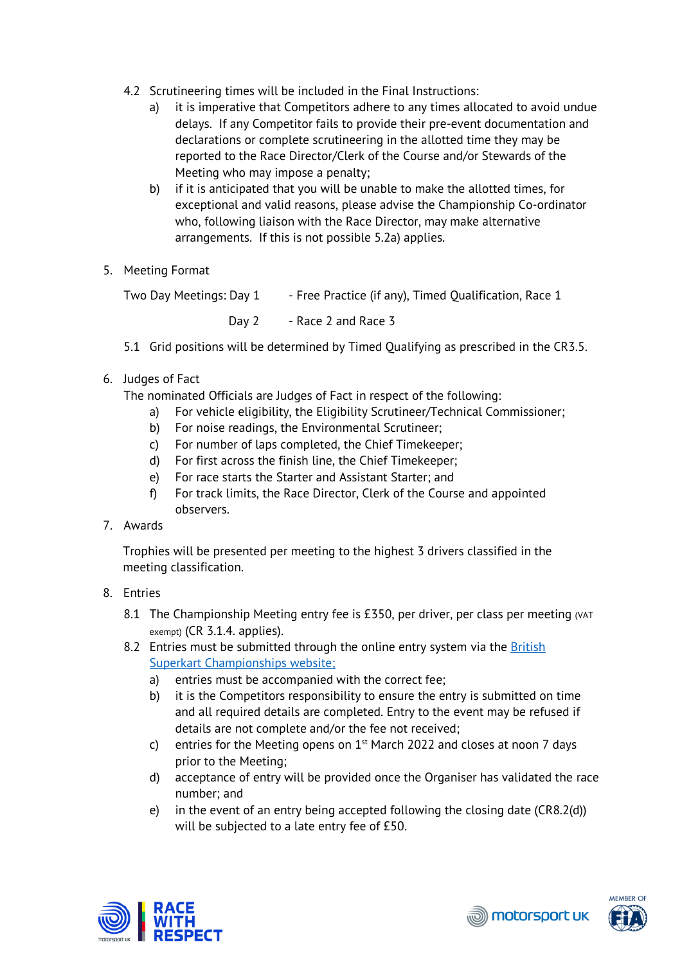- 4.2 Scrutineering times will be included in the Final Instructions:
	- a) it is imperative that Competitors adhere to any times allocated to avoid undue delays. If any Competitor fails to provide their pre-event documentation and declarations or complete scrutineering in the allotted time they may be reported to the Race Director/Clerk of the Course and/or Stewards of the Meeting who may impose a penalty;
	- b) if it is anticipated that you will be unable to make the allotted times, for exceptional and valid reasons, please advise the Championship Co-ordinator who, following liaison with the Race Director, may make alternative arrangements. If this is not possible 5.2a) applies.
- 5. Meeting Format

Two Day Meetings: Day 1 - Free Practice (if any), Timed Oualification, Race 1 Day 2 - Race 2 and Race 3

- 5.1 Grid positions will be determined by Timed Qualifying as prescribed in the CR3.5.
- 6. Judges of Fact

The nominated Officials are Judges of Fact in respect of the following:

- a) For vehicle eligibility, the Eligibility Scrutineer/Technical Commissioner;
- b) For noise readings, the Environmental Scrutineer;
- c) For number of laps completed, the Chief Timekeeper;
- d) For first across the finish line, the Chief Timekeeper;
- e) For race starts the Starter and Assistant Starter; and
- f) For track limits, the Race Director, Clerk of the Course and appointed observers.
- 7. Awards

Trophies will be presented per meeting to the highest 3 drivers classified in the meeting classification.

- 8. Entries
	- 8.1 The Championship Meeting entry fee is £350, per driver, per class per meeting  $(NAT)$ exempt) (CR 3.1.4. applies).
	- 8.2 Entries must be submitted through the online entry system via the British [Superkart Championships website;](https://www.trakentries.co.uk/clubcloner/RacerAdd.asp?MembershipID=1112&h=3039d5bb042e5895c1c64eb7ec07f886&c=95)
		- a) entries must be accompanied with the correct fee;
		- b) it is the Competitors responsibility to ensure the entry is submitted on time and all required details are completed. Entry to the event may be refused if details are not complete and/or the fee not received;
		- c) entries for the Meeting opens on  $1<sup>st</sup>$  March 2022 and closes at noon 7 days prior to the Meeting;
		- d) acceptance of entry will be provided once the Organiser has validated the race number; and
		- e) in the event of an entry being accepted following the closing date (CR8.2(d)) will be subjected to a late entry fee of £50.





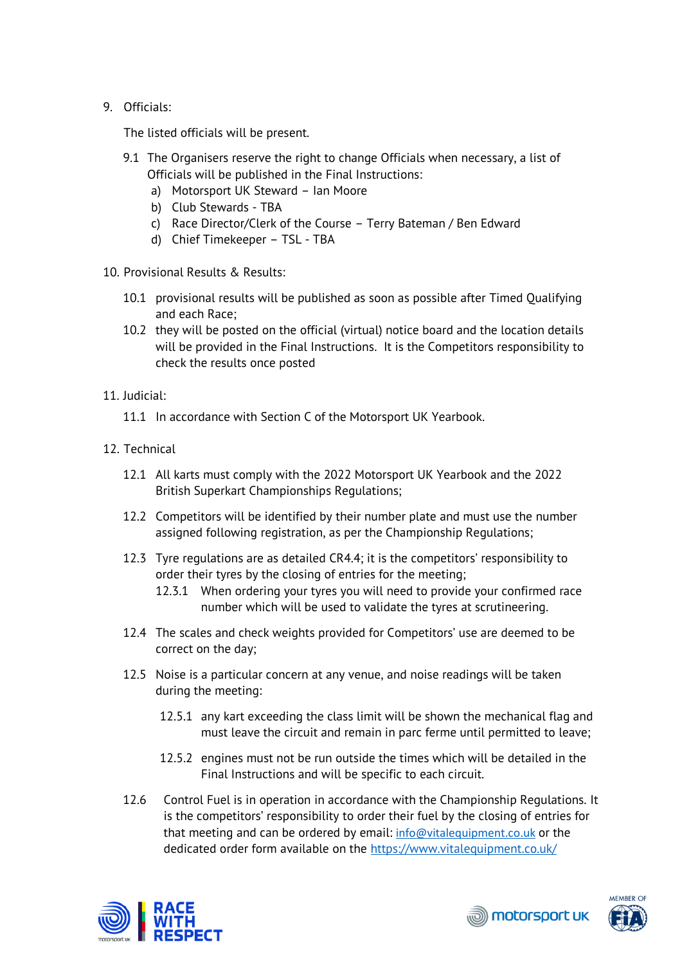## 9. Officials:

The listed officials will be present.

- 9.1 The Organisers reserve the right to change Officials when necessary, a list of Officials will be published in the Final Instructions:
	- a) Motorsport UK Steward Ian Moore
	- b) Club Stewards TBA
	- c) Race Director/Clerk of the Course Terry Bateman / Ben Edward
	- d) Chief Timekeeper TSL TBA
- 10. Provisional Results & Results:
	- 10.1 provisional results will be published as soon as possible after Timed Qualifying and each Race;
	- 10.2 they will be posted on the official (virtual) notice board and the location details will be provided in the Final Instructions. It is the Competitors responsibility to check the results once posted
- 11. Judicial:
	- 11.1 In accordance with Section C of the Motorsport UK Yearbook.
- 12. Technical
	- 12.1 All karts must comply with the 2022 Motorsport UK Yearbook and the 2022 British Superkart Championships Regulations;
	- 12.2 Competitors will be identified by their number plate and must use the number assigned following registration, as per the Championship Regulations;
	- 12.3 Tyre regulations are as detailed CR4.4; it is the competitors' responsibility to order their tyres by the closing of entries for the meeting;
		- 12.3.1 When ordering your tyres you will need to provide your confirmed race number which will be used to validate the tyres at scrutineering.
	- 12.4 The scales and check weights provided for Competitors' use are deemed to be correct on the day;
	- 12.5 Noise is a particular concern at any venue, and noise readings will be taken during the meeting:
		- 12.5.1 any kart exceeding the class limit will be shown the mechanical flag and must leave the circuit and remain in parc ferme until permitted to leave;
		- 12.5.2 engines must not be run outside the times which will be detailed in the Final Instructions and will be specific to each circuit.
	- 12.6 Control Fuel is in operation in accordance with the Championship Regulations. It is the competitors' responsibility to order their fuel by the closing of entries for that meeting and can be ordered by email: [info@vitalequipment.co.uk](mailto:info@vitalequipment.co.uk) or the dedicated order form available on the<https://www.vitalequipment.co.uk/>



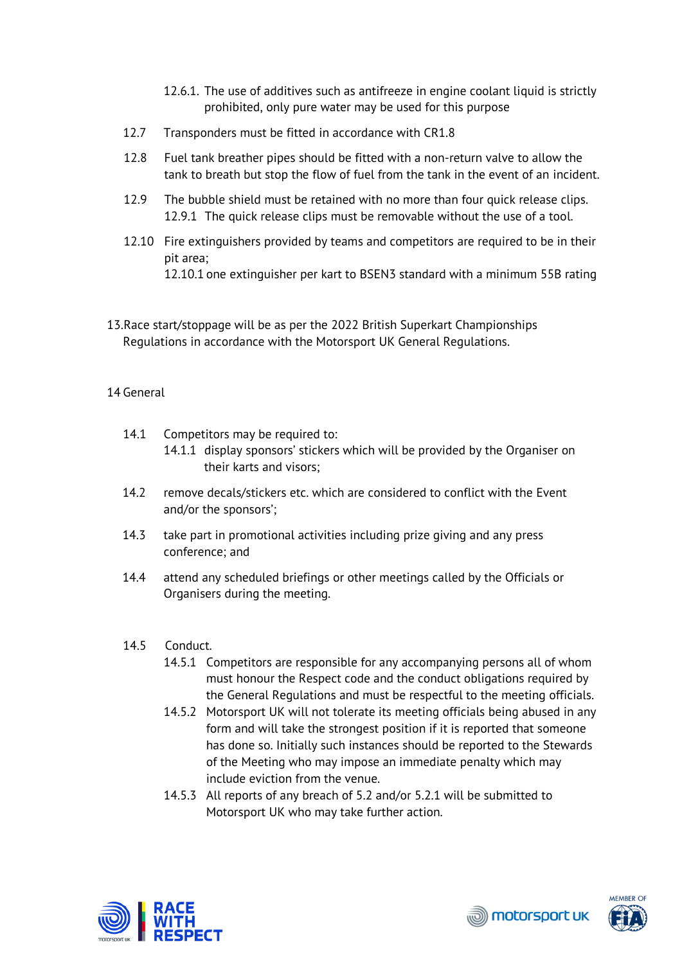- 12.6.1. The use of additives such as antifreeze in engine coolant liquid is strictly prohibited, only pure water may be used for this purpose
- 12.7 Transponders must be fitted in accordance with CR1.8
- 12.8 Fuel tank breather pipes should be fitted with a non-return valve to allow the tank to breath but stop the flow of fuel from the tank in the event of an incident.
- 12.9 The bubble shield must be retained with no more than four quick release clips. 12.9.1 The quick release clips must be removable without the use of a tool.
- 12.10 Fire extinguishers provided by teams and competitors are required to be in their pit area; 12.10.1 one extinguisher per kart to BSEN3 standard with a minimum 55B rating
- 13.Race start/stoppage will be as per the 2022 British Superkart Championships Regulations in accordance with the Motorsport UK General Regulations.

## 14 General

- 14.1 Competitors may be required to:
	- 14.1.1 display sponsors' stickers which will be provided by the Organiser on their karts and visors;
- 14.2 remove decals/stickers etc. which are considered to conflict with the Event and/or the sponsors';
- 14.3 take part in promotional activities including prize giving and any press conference; and
- 14.4 attend any scheduled briefings or other meetings called by the Officials or Organisers during the meeting.
- 14.5 Conduct.
	- 14.5.1 Competitors are responsible for any accompanying persons all of whom must honour the Respect code and the conduct obligations required by the General Regulations and must be respectful to the meeting officials.
	- 14.5.2 Motorsport UK will not tolerate its meeting officials being abused in any form and will take the strongest position if it is reported that someone has done so. Initially such instances should be reported to the Stewards of the Meeting who may impose an immediate penalty which may include eviction from the venue.
	- 14.5.3 All reports of any breach of 5.2 and/or 5.2.1 will be submitted to Motorsport UK who may take further action.